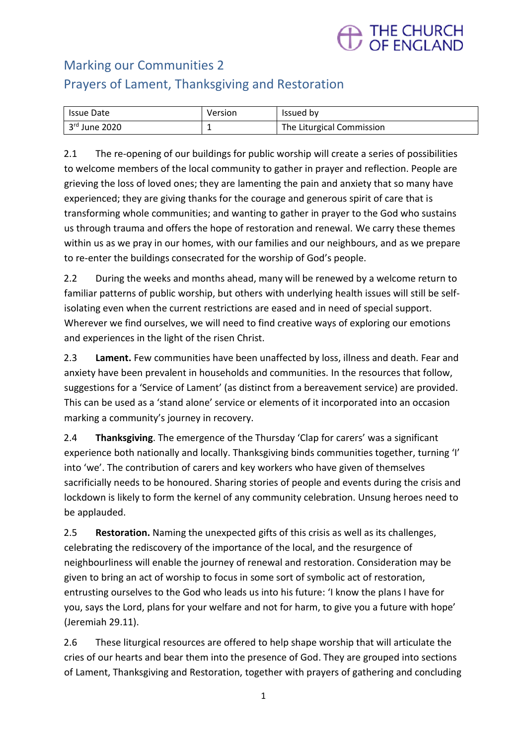# THE CHURCH<br>OF ENGLAND

## Marking our Communities 2 Prayers of Lament, Thanksgiving and Restoration

| <b>Issue Date</b> | Version | Issued by                 |
|-------------------|---------|---------------------------|
| 3rd June 2020     |         | The Liturgical Commission |

2.1 The re-opening of our buildings for public worship will create a series of possibilities to welcome members of the local community to gather in prayer and reflection. People are grieving the loss of loved ones; they are lamenting the pain and anxiety that so many have experienced; they are giving thanks for the courage and generous spirit of care that is transforming whole communities; and wanting to gather in prayer to the God who sustains us through trauma and offers the hope of restoration and renewal. We carry these themes within us as we pray in our homes, with our families and our neighbours, and as we prepare to re-enter the buildings consecrated for the worship of God's people.

2.2 During the weeks and months ahead, many will be renewed by a welcome return to familiar patterns of public worship, but others with underlying health issues will still be selfisolating even when the current restrictions are eased and in need of special support. Wherever we find ourselves, we will need to find creative ways of exploring our emotions and experiences in the light of the risen Christ.

2.3 **Lament.** Few communities have been unaffected by loss, illness and death. Fear and anxiety have been prevalent in households and communities. In the resources that follow, suggestions for a 'Service of Lament' (as distinct from a bereavement service) are provided. This can be used as a 'stand alone' service or elements of it incorporated into an occasion marking a community's journey in recovery.

2.4 **Thanksgiving**. The emergence of the Thursday 'Clap for carers' was a significant experience both nationally and locally. Thanksgiving binds communities together, turning 'I' into 'we'. The contribution of carers and key workers who have given of themselves sacrificially needs to be honoured. Sharing stories of people and events during the crisis and lockdown is likely to form the kernel of any community celebration. Unsung heroes need to be applauded.

2.5 **Restoration.** Naming the unexpected gifts of this crisis as well as its challenges, celebrating the rediscovery of the importance of the local, and the resurgence of neighbourliness will enable the journey of renewal and restoration. Consideration may be given to bring an act of worship to focus in some sort of symbolic act of restoration, entrusting ourselves to the God who leads us into his future: 'I know the plans I have for you, says the Lord, plans for your welfare and not for harm, to give you a future with hope' (Jeremiah 29.11).

2.6 These liturgical resources are offered to help shape worship that will articulate the cries of our hearts and bear them into the presence of God. They are grouped into sections of Lament, Thanksgiving and Restoration, together with prayers of gathering and concluding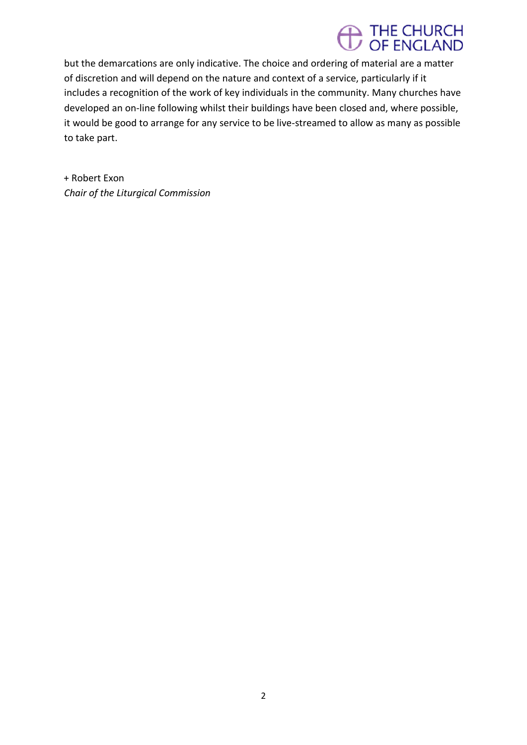## THE CHURCH<br>OF ENGLAND

but the demarcations are only indicative. The choice and ordering of material are a matter of discretion and will depend on the nature and context of a service, particularly if it includes a recognition of the work of key individuals in the community. Many churches have developed an on-line following whilst their buildings have been closed and, where possible, it would be good to arrange for any service to be live-streamed to allow as many as possible to take part.

+ Robert Exon *Chair of the Liturgical Commission*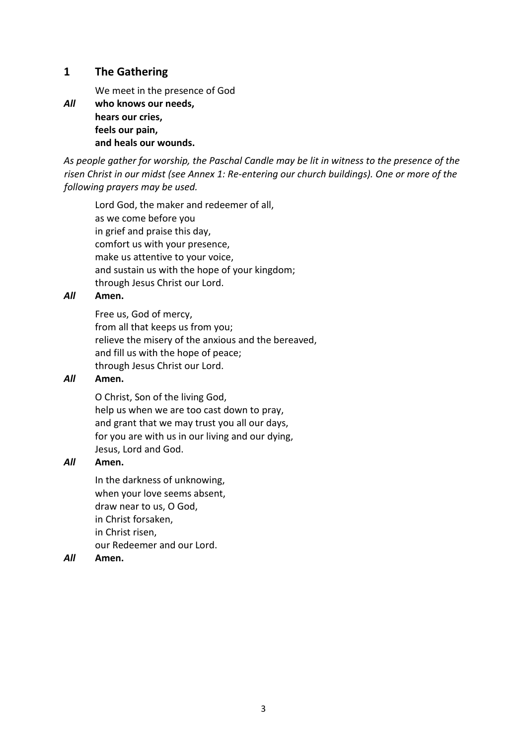## **1 The Gathering**

We meet in the presence of God

*All* **who knows our needs, hears our cries, feels our pain, and heals our wounds.**

*As people gather for worship, the Paschal Candle may be lit in witness to the presence of the risen Christ in our midst (see Annex 1: Re-entering our church buildings). One or more of the following prayers may be used.*

Lord God, the maker and redeemer of all, as we come before you in grief and praise this day, comfort us with your presence, make us attentive to your voice, and sustain us with the hope of your kingdom; through Jesus Christ our Lord.

## *All* **Amen.**

Free us, God of mercy, from all that keeps us from you; relieve the misery of the anxious and the bereaved, and fill us with the hope of peace; through Jesus Christ our Lord.

## *All* **Amen.**

O Christ, Son of the living God, help us when we are too cast down to pray, and grant that we may trust you all our days, for you are with us in our living and our dying, Jesus, Lord and God.

## *All* **Amen.**

In the darkness of unknowing, when your love seems absent, draw near to us, O God, in Christ forsaken, in Christ risen, our Redeemer and our Lord.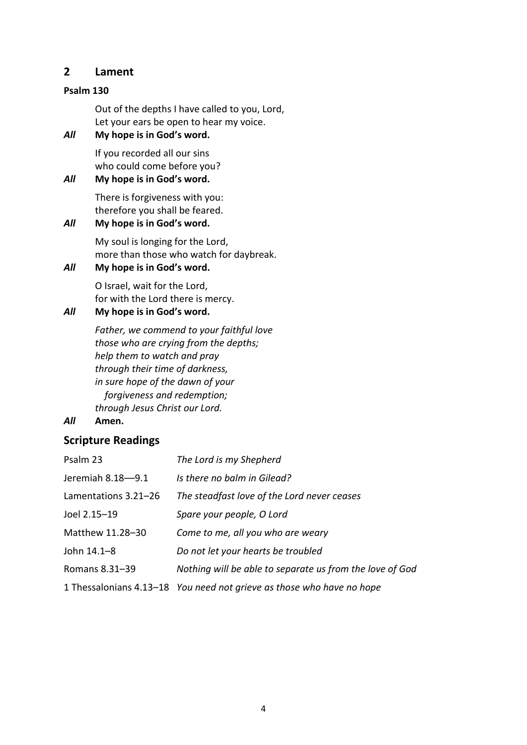## **2 Lament**

## **Psalm 130**

Out of the depths I have called to you, Lord, Let your ears be open to hear my voice.

## *All* **My hope is in God's word.**

If you recorded all our sins who could come before you?

## *All* **My hope is in God's word.**

There is forgiveness with you: therefore you shall be feared.

## *All* **My hope is in God's word.**

My soul is longing for the Lord, more than those who watch for daybreak.

## *All* **My hope is in God's word.**

O Israel, wait for the Lord, for with the Lord there is mercy.

## *All* **My hope is in God's word.**

*Father, we commend to your faithful love those who are crying from the depths; help them to watch and pray through their time of darkness, in sure hope of the dawn of your forgiveness and redemption; through Jesus Christ our Lord.* 

## *All* **Amen.**

## **Scripture Readings**

| Psalm 23             | The Lord is my Shepherd                                               |
|----------------------|-----------------------------------------------------------------------|
| Jeremiah 8.18-9.1    | Is there no balm in Gilead?                                           |
| Lamentations 3.21–26 | The steadfast love of the Lord never ceases                           |
| Joel 2.15-19         | Spare your people, O Lord                                             |
| Matthew 11.28-30     | Come to me, all you who are weary                                     |
| John 14.1-8          | Do not let your hearts be troubled                                    |
| Romans 8.31-39       | Nothing will be able to separate us from the love of God              |
|                      | 1 Thessalonians 4.13–18 You need not grieve as those who have no hope |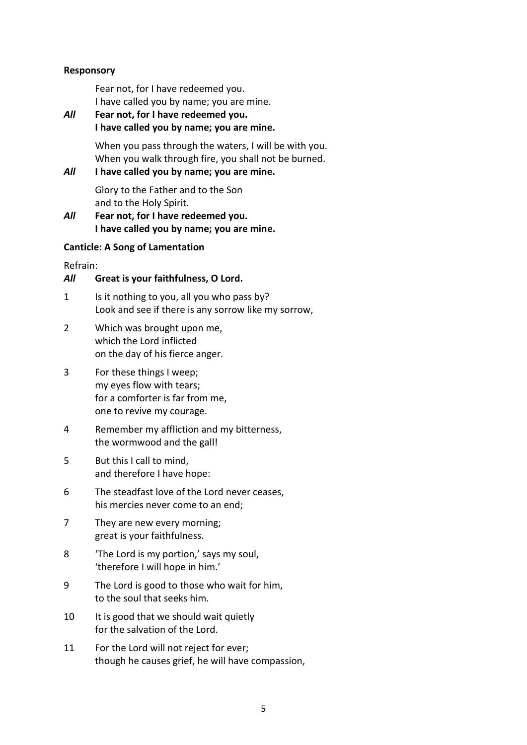## **Responsory**

Fear not, for I have redeemed you. I have called you by name; you are mine.

*All* **Fear not, for I have redeemed you. I have called you by name; you are mine.**

> When you pass through the waters, I will be with you. When you walk through fire, you shall not be burned.

## *All* **I have called you by name; you are mine.**

Glory to the Father and to the Son and to the Holy Spirit.

*All* **Fear not, for I have redeemed you. I have called you by name; you are mine.**

## **Canticle: A Song of Lamentation**

Refrain:

## *All* **Great is your faithfulness, O Lord.**

- 1 Is it nothing to you, all you who pass by? Look and see if there is any sorrow like my sorrow,
- 2 Which was brought upon me, which the Lord inflicted on the day of his fierce anger.
- 3 For these things I weep; my eyes flow with tears; for a comforter is far from me, one to revive my courage.
- 4 Remember my affliction and my bitterness, the wormwood and the gall!
- 5 But this I call to mind, and therefore I have hope:
- 6 The steadfast love of the Lord never ceases, his mercies never come to an end;
- 7 They are new every morning; great is your faithfulness.
- 8 'The Lord is my portion,' says my soul, 'therefore I will hope in him.'
- 9 The Lord is good to those who wait for him, to the soul that seeks him.
- 10 It is good that we should wait quietly for the salvation of the Lord.
- 11 For the Lord will not reject for ever; though he causes grief, he will have compassion,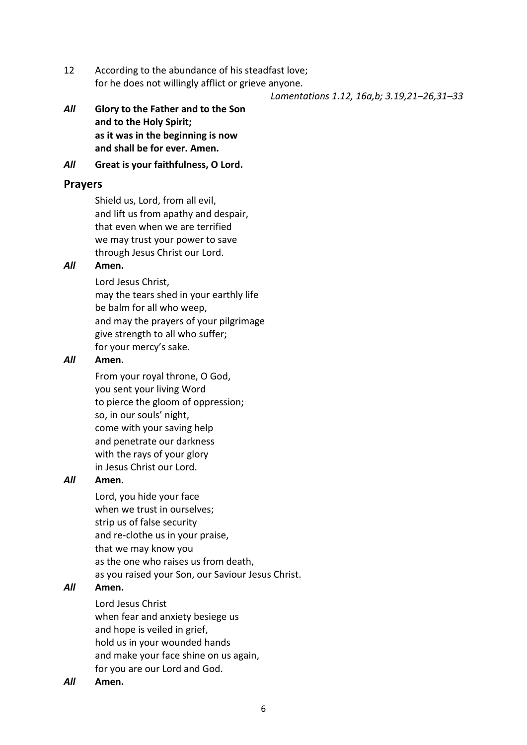12 According to the abundance of his steadfast love; for he does not willingly afflict or grieve anyone.

#### *Lamentations 1.12, 16a,b; 3.19,21–26,31–33*

*All* **Glory to the Father and to the Son and to the Holy Spirit; as it was in the beginning is now and shall be for ever. Amen.**

*All* **Great is your faithfulness, O Lord.**

## **Prayers**

Shield us, Lord, from all evil, and lift us from apathy and despair, that even when we are terrified we may trust your power to save through Jesus Christ our Lord.

#### *All* **Amen.**

Lord Jesus Christ, may the tears shed in your earthly life be balm for all who weep, and may the prayers of your pilgrimage give strength to all who suffer; for your mercy's sake.

#### *All* **Amen.**

From your royal throne, O God, you sent your living Word to pierce the gloom of oppression; so, in our souls' night, come with your saving help and penetrate our darkness with the rays of your glory in Jesus Christ our Lord.

## *All* **Amen.**

Lord, you hide your face when we trust in ourselves; strip us of false security and re-clothe us in your praise, that we may know you as the one who raises us from death, as you raised your Son, our Saviour Jesus Christ.

### *All* **Amen.**

Lord Jesus Christ when fear and anxiety besiege us and hope is veiled in grief, hold us in your wounded hands and make your face shine on us again, for you are our Lord and God.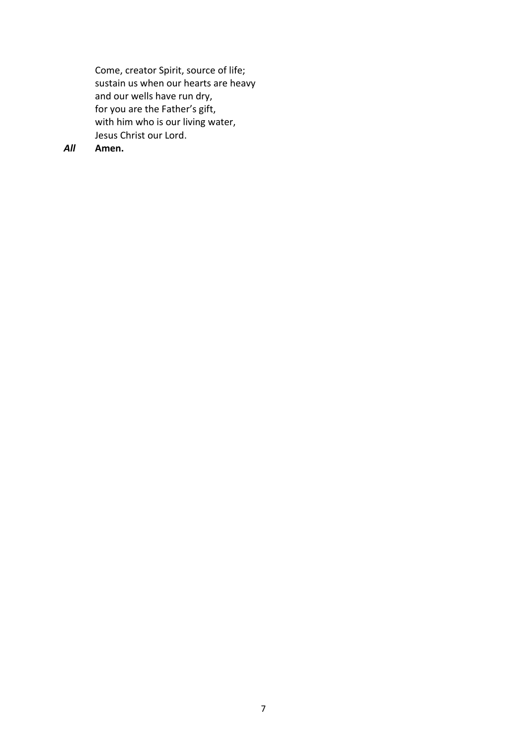Come, creator Spirit, source of life; sustain us when our hearts are heavy and our wells have run dry, for you are the Father's gift, with him who is our living water, Jesus Christ our Lord.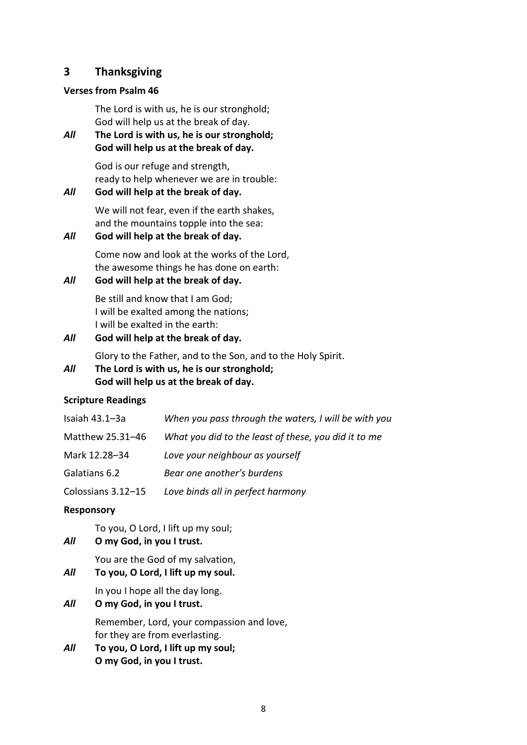## **3 Thanksgiving**

#### **Verses from Psalm 46**

The Lord is with us, he is our stronghold; God will help us at the break of day.

## *All* **The Lord is with us, he is our stronghold; God will help us at the break of day.**

God is our refuge and strength, ready to help whenever we are in trouble:

## *All* **God will help at the break of day.**

We will not fear, even if the earth shakes, and the mountains topple into the sea:

## *All* **God will help at the break of day.**

Come now and look at the works of the Lord, the awesome things he has done on earth:

## *All* **God will help at the break of day.**

Be still and know that I am God; I will be exalted among the nations; I will be exalted in the earth:

## *All* **God will help at the break of day.**

Glory to the Father, and to the Son, and to the Holy Spirit.

*All* **The Lord is with us, he is our stronghold; God will help us at the break of day.**

## **Scripture Readings**

| Isaiah 43.1-3a     | When you pass through the waters, I will be with you |
|--------------------|------------------------------------------------------|
| Matthew 25.31-46   | What you did to the least of these, you did it to me |
| Mark 12.28-34      | Love your neighbour as yourself                      |
| Galatians 6.2      | Bear one another's burdens                           |
| Colossians 3.12-15 | Love binds all in perfect harmony                    |

## **Responsory**

To you, O Lord, I lift up my soul;

*All* **O my God, in you I trust.**

You are the God of my salvation,

## *All* **To you, O Lord, I lift up my soul.**

In you I hope all the day long.

*All* **O my God, in you I trust.**

Remember, Lord, your compassion and love, for they are from everlasting.

*All* **To you, O Lord, I lift up my soul; O my God, in you I trust.**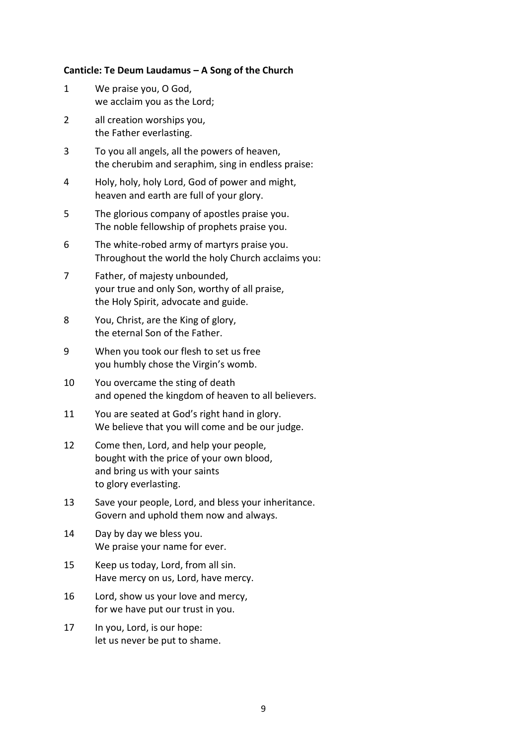#### **Canticle: Te Deum Laudamus – A Song of the Church**

- 1 We praise you, O God, we acclaim you as the Lord;
- 2 all creation worships you, the Father everlasting.
- 3 To you all angels, all the powers of heaven, the cherubim and seraphim, sing in endless praise:
- 4 Holy, holy, holy Lord, God of power and might, heaven and earth are full of your glory.
- 5 The glorious company of apostles praise you. The noble fellowship of prophets praise you.
- 6 The white-robed army of martyrs praise you. Throughout the world the holy Church acclaims you:
- 7 Father, of majesty unbounded, your true and only Son, worthy of all praise, the Holy Spirit, advocate and guide.
- 8 You, Christ, are the King of glory, the eternal Son of the Father.
- 9 When you took our flesh to set us free you humbly chose the Virgin's womb.
- 10 You overcame the sting of death and opened the kingdom of heaven to all believers.
- 11 You are seated at God's right hand in glory. We believe that you will come and be our judge.
- 12 Come then, Lord, and help your people, bought with the price of your own blood, and bring us with your saints to glory everlasting.
- 13 Save your people, Lord, and bless your inheritance. Govern and uphold them now and always.
- 14 Day by day we bless you. We praise your name for ever.
- 15 Keep us today, Lord, from all sin. Have mercy on us, Lord, have mercy.
- 16 Lord, show us your love and mercy, for we have put our trust in you.
- 17 In you, Lord, is our hope: let us never be put to shame.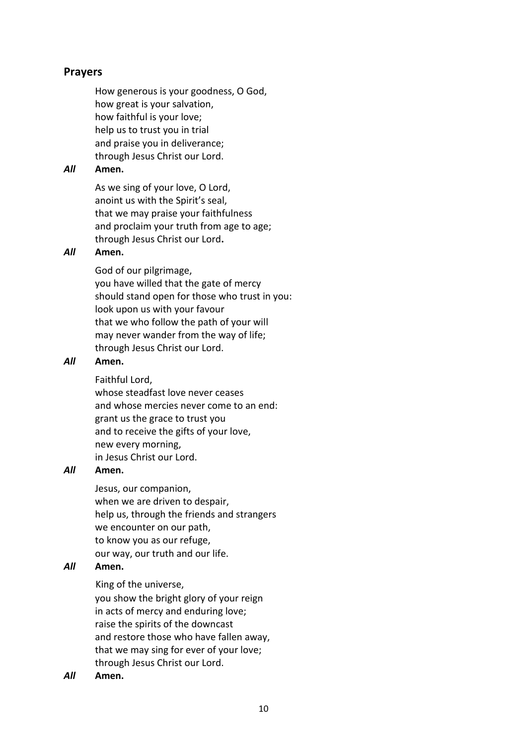## **Prayers**

How generous is your goodness, O God, how great is your salvation, how faithful is your love; help us to trust you in trial and praise you in deliverance; through Jesus Christ our Lord.

## *All* **Amen.**

As we sing of your love, O Lord, anoint us with the Spirit's seal, that we may praise your faithfulness and proclaim your truth from age to age; through Jesus Christ our Lord**.** 

## *All* **Amen.**

God of our pilgrimage, you have willed that the gate of mercy should stand open for those who trust in you: look upon us with your favour that we who follow the path of your will may never wander from the way of life; through Jesus Christ our Lord.

## *All* **Amen.**

Faithful Lord,

whose steadfast love never ceases and whose mercies never come to an end: grant us the grace to trust you and to receive the gifts of your love, new every morning, in Jesus Christ our Lord.

## *All* **Amen.**

Jesus, our companion, when we are driven to despair, help us, through the friends and strangers we encounter on our path, to know you as our refuge, our way, our truth and our life.

## *All* **Amen.**

King of the universe,

you show the bright glory of your reign in acts of mercy and enduring love; raise the spirits of the downcast and restore those who have fallen away, that we may sing for ever of your love; through Jesus Christ our Lord.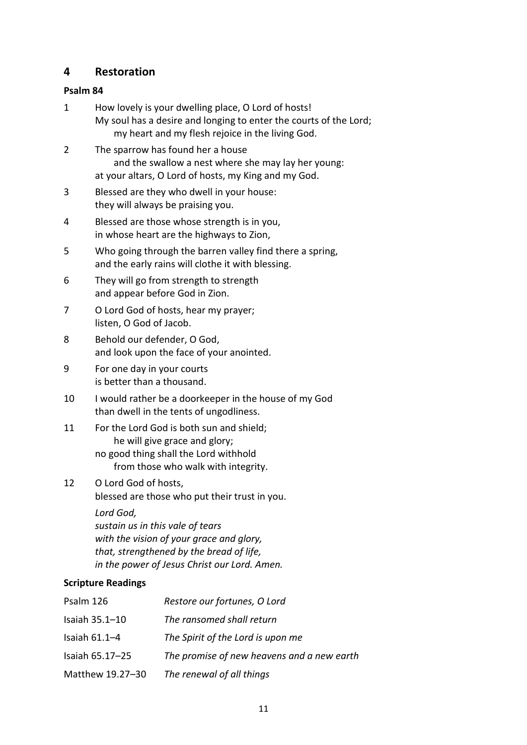## **4 Restoration**

## **Psalm 84**

- 1 How lovely is your dwelling place, O Lord of hosts! My soul has a desire and longing to enter the courts of the Lord; my heart and my flesh rejoice in the living God.
- 2 The sparrow has found her a house and the swallow a nest where she may lay her young: at your altars, O Lord of hosts, my King and my God.
- 3 Blessed are they who dwell in your house: they will always be praising you.
- 4 Blessed are those whose strength is in you, in whose heart are the highways to Zion,
- 5 Who going through the barren valley find there a spring, and the early rains will clothe it with blessing.
- 6 They will go from strength to strength and appear before God in Zion.
- 7 O Lord God of hosts, hear my prayer; listen, O God of Jacob.
- 8 Behold our defender, O God, and look upon the face of your anointed.
- 9 For one day in your courts is better than a thousand.
- 10 I would rather be a doorkeeper in the house of my God than dwell in the tents of ungodliness.
- 11 For the Lord God is both sun and shield; he will give grace and glory; no good thing shall the Lord withhold from those who walk with integrity.
- 12 O Lord God of hosts, blessed are those who put their trust in you.

*Lord God, sustain us in this vale of tears with the vision of your grace and glory, that, strengthened by the bread of life, in the power of Jesus Christ our Lord. Amen.*

## **Scripture Readings**

| Psalm 126         | Restore our fortunes, O Lord               |
|-------------------|--------------------------------------------|
| Isaiah 35.1-10    | The ransomed shall return                  |
| Isaiah $61.1 - 4$ | The Spirit of the Lord is upon me          |
| Isaiah 65.17-25   | The promise of new heavens and a new earth |
| Matthew 19.27-30  | The renewal of all things                  |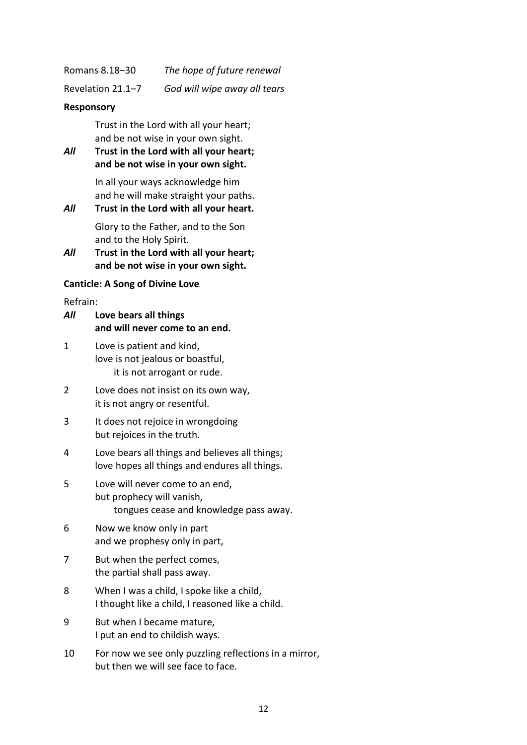Romans 8.18–30 *The hope of future renewal*

Revelation 21.1–7 *God will wipe away all tears*

#### **Responsory**

Trust in the Lord with all your heart; and be not wise in your own sight.

*All* **Trust in the Lord with all your heart; and be not wise in your own sight.**

> In all your ways acknowledge him and he will make straight your paths.

*All* **Trust in the Lord with all your heart.**

Glory to the Father, and to the Son and to the Holy Spirit.

#### *All* **Trust in the Lord with all your heart; and be not wise in your own sight.**

#### **Canticle: A Song of Divine Love**

Refrain:

| All | Love bears all things          |
|-----|--------------------------------|
|     | and will never come to an end. |

1 Love is patient and kind, love is not jealous or boastful, it is not arrogant or rude.

- 2 Love does not insist on its own way, it is not angry or resentful.
- 3 It does not rejoice in wrongdoing but rejoices in the truth.
- 4 Love bears all things and believes all things; love hopes all things and endures all things.
- 5 Love will never come to an end, but prophecy will vanish, tongues cease and knowledge pass away.
- 6 Now we know only in part and we prophesy only in part,
- 7 But when the perfect comes, the partial shall pass away.
- 8 When I was a child, I spoke like a child, I thought like a child, I reasoned like a child.
- 9 But when I became mature, I put an end to childish ways.
- 10 For now we see only puzzling reflections in a mirror, but then we will see face to face.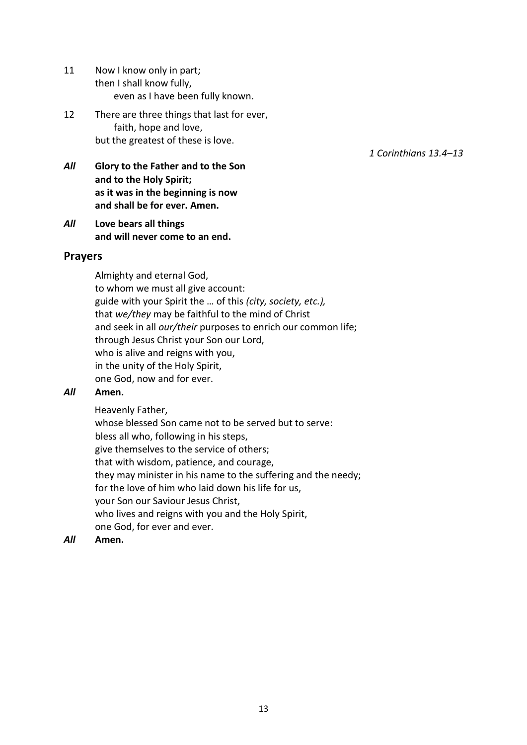- 11 Now I know only in part; then I shall know fully, even as I have been fully known.
- 12 There are three things that last for ever, faith, hope and love, but the greatest of these is love.

*1 Corinthians 13.4–13*

- *All* **Glory to the Father and to the Son and to the Holy Spirit; as it was in the beginning is now and shall be for ever. Amen.**
- *All* **Love bears all things and will never come to an end.**

## **Prayers**

Almighty and eternal God, to whom we must all give account: guide with your Spirit the … of this *(city, society, etc.),* that *we/they* may be faithful to the mind of Christ and seek in all *our/their* purposes to enrich our common life; through Jesus Christ your Son our Lord, who is alive and reigns with you, in the unity of the Holy Spirit, one God, now and for ever.

## *All* **Amen.**

Heavenly Father,

whose blessed Son came not to be served but to serve: bless all who, following in his steps, give themselves to the service of others; that with wisdom, patience, and courage, they may minister in his name to the suffering and the needy; for the love of him who laid down his life for us, your Son our Saviour Jesus Christ, who lives and reigns with you and the Holy Spirit, one God, for ever and ever.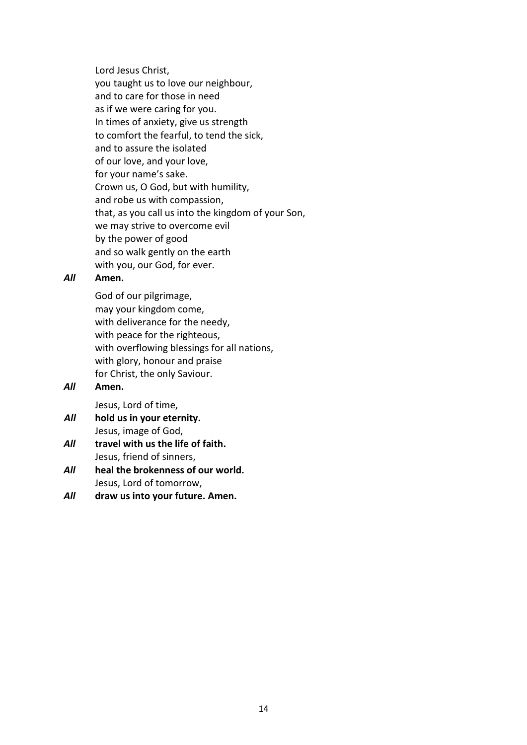Lord Jesus Christ,

you taught us to love our neighbour, and to care for those in need as if we were caring for you. In times of anxiety, give us strength to comfort the fearful, to tend the sick, and to assure the isolated of our love, and your love, for your name's sake. Crown us, O God, but with humility, and robe us with compassion, that, as you call us into the kingdom of your Son, we may strive to overcome evil by the power of good and so walk gently on the earth with you, our God, for ever.

## *All* **Amen.**

God of our pilgrimage, may your kingdom come, with deliverance for the needy, with peace for the righteous, with overflowing blessings for all nations, with glory, honour and praise for Christ, the only Saviour.

#### *All* **Amen.**

Jesus, Lord of time,

- *All* **hold us in your eternity.** Jesus, image of God,
- *All* **travel with us the life of faith.** Jesus, friend of sinners,
- *All* **heal the brokenness of our world.** Jesus, Lord of tomorrow,
- *All* **draw us into your future. Amen.**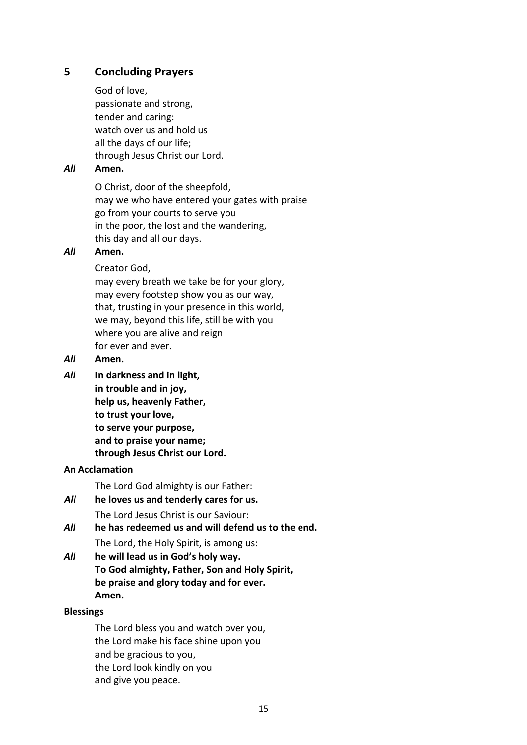## **5 Concluding Prayers**

God of love,

passionate and strong, tender and caring: watch over us and hold us all the days of our life; through Jesus Christ our Lord.

## *All* **Amen.**

O Christ, door of the sheepfold, may we who have entered your gates with praise go from your courts to serve you in the poor, the lost and the wandering, this day and all our days.

## *All* **Amen.**

Creator God,

may every breath we take be for your glory, may every footstep show you as our way, that, trusting in your presence in this world, we may, beyond this life, still be with you where you are alive and reign for ever and ever.

## *All* **Amen.**

*All* **In darkness and in light, in trouble and in joy, help us, heavenly Father, to trust your love, to serve your purpose, and to praise your name; through Jesus Christ our Lord.**

#### **An Acclamation**

The Lord God almighty is our Father:

- *All* **he loves us and tenderly cares for us.** The Lord Jesus Christ is our Saviour:
- *All* **he has redeemed us and will defend us to the end.** The Lord, the Holy Spirit, is among us:
- *All* **he will lead us in God's holy way. To God almighty, Father, Son and Holy Spirit, be praise and glory today and for ever. Amen.**

#### **Blessings**

The Lord bless you and watch over you, the Lord make his face shine upon you and be gracious to you, the Lord look kindly on you and give you peace.